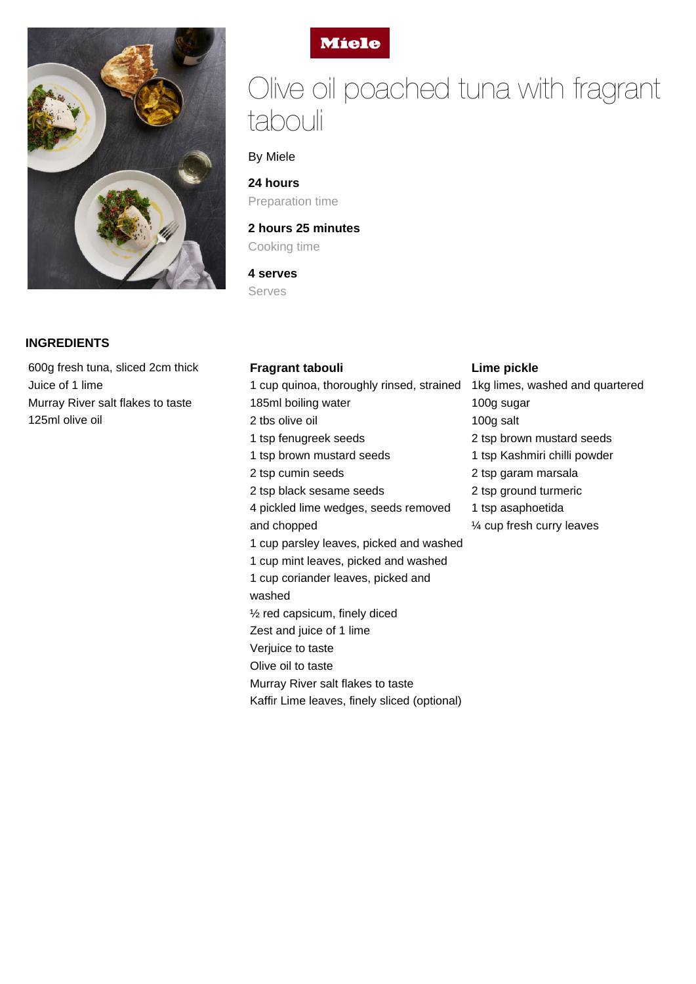

## **INGREDIENTS**

600g fresh tuna, sliced 2cm thick Juice of 1 lime Murray River salt flakes to taste 125ml olive oil



# Olive oil poached tuna with fragrant tabouli

# By Miele

#### **24 hours**

Preparation time

# **2 hours 25 minutes**

Cooking time

#### **4 serves**

Serves

#### **Fragrant tabouli**

1 cup quinoa, thoroughly rinsed, strained 185ml boiling water 2 tbs olive oil 1 tsp fenugreek seeds 1 tsp brown mustard seeds 2 tsp cumin seeds 2 tsp black sesame seeds 4 pickled lime wedges, seeds removed and chopped 1 cup parsley leaves, picked and washed 1 cup mint leaves, picked and washed 1 cup coriander leaves, picked and washed ½ red capsicum, finely diced Zest and juice of 1 lime Verjuice to taste Olive oil to taste Murray River salt flakes to taste Kaffir Lime leaves, finely sliced (optional)

#### **Lime pickle**

1kg limes, washed and quartered 100g sugar 100g salt 2 tsp brown mustard seeds 1 tsp Kashmiri chilli powder 2 tsp garam marsala 2 tsp ground turmeric 1 tsp asaphoetida ¼ cup fresh curry leaves